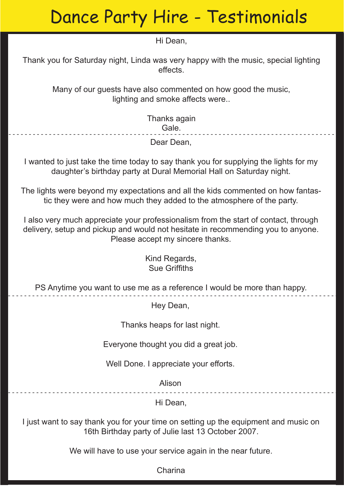## Dance Party Hire - Testimonials

Hi Dean,

Thank you for Saturday night, Linda was very happy with the music, special lighting effects.

> Many of our guests have also commented on how good the music, lighting and smoke affects were..

| Thanks again<br>Gale. |  |
|-----------------------|--|
| Dear Dean,            |  |

I wanted to just take the time today to say thank you for supplying the lights for my daughter's birthday party at Dural Memorial Hall on Saturday night.

The lights were beyond my expectations and all the kids commented on how fantastic they were and how much they added to the atmosphere of the party.

I also very much appreciate your professionalism from the start of contact, through delivery, setup and pickup and would not hesitate in recommending you to anyone. Please accept my sincere thanks.

> Kind Regards, Sue Griffiths

- - - - - - - - - - - - - - - - - - - - - - - - - - - - - - - - - - - - - - - - - - - - - - - - - - - - - - - - - - - - - - - - - - - - - - - - - - - - - - - - - - - - - PS Anytime you want to use me as a reference I would be more than happy.

Hey Dean,

Thanks heaps for last night.

Everyone thought you did a great job.

Well Done. I appreciate your efforts.

Alison

Hi Dean,

- - - - - - - - - - - - - - - - - - - - - - - - - - - - - - - - - - - - - - - - - - - - - - - - - - - - - - - - - - - - - - - - - - - - - - - - - - - - - - - - - - - - -

I just want to say thank you for your time on setting up the equipment and music on 16th Birthday party of Julie last 13 October 2007.

We will have to use your service again in the near future.

Charina